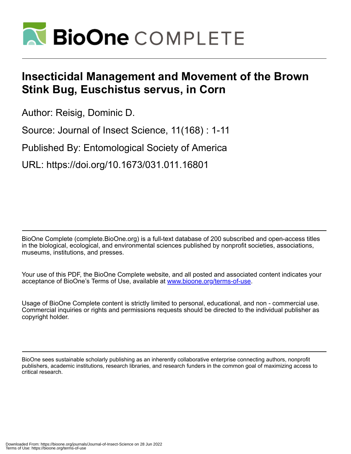

# **Insecticidal Management and Movement of the Brown Stink Bug, Euschistus servus, in Corn**

Author: Reisig, Dominic D.

Source: Journal of Insect Science, 11(168) : 1-11

Published By: Entomological Society of America

URL: https://doi.org/10.1673/031.011.16801

BioOne Complete (complete.BioOne.org) is a full-text database of 200 subscribed and open-access titles in the biological, ecological, and environmental sciences published by nonprofit societies, associations, museums, institutions, and presses.

Your use of this PDF, the BioOne Complete website, and all posted and associated content indicates your acceptance of BioOne's Terms of Use, available at www.bioone.org/terms-of-use.

Usage of BioOne Complete content is strictly limited to personal, educational, and non - commercial use. Commercial inquiries or rights and permissions requests should be directed to the individual publisher as copyright holder.

BioOne sees sustainable scholarly publishing as an inherently collaborative enterprise connecting authors, nonprofit publishers, academic institutions, research libraries, and research funders in the common goal of maximizing access to critical research.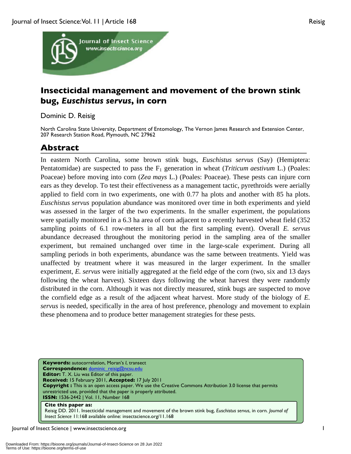

# **Insecticidal management and movement of the brown stink bug,** *Euschistus servus***, in corn**

Dominic D. Reisig

North Carolina State University, Department of Entomology, The Vernon James Research and Extension Center, 207 Research Station Road, Plymouth, NC 27962

# **Abstract**

In eastern North Carolina, some brown stink bugs, *Euschistus servus* (Say) (Hemiptera: Pentatomidae) are suspected to pass the F<sub>1</sub> generation in wheat (*Triticum aestivum* L.) (Poales: Poaceae) before moving into corn (*Zea mays* L.) (Poales: Poaceae). These pests can injure corn ears as they develop. To test their effectiveness as a management tactic, pyrethroids were aerially applied to field corn in two experiments, one with 0.77 ha plots and another with 85 ha plots. *Euschistus servus* population abundance was monitored over time in both experiments and yield was assessed in the larger of the two experiments. In the smaller experiment, the populations were spatially monitored in a 6.3 ha area of corn adjacent to a recently harvested wheat field (352 sampling points of 6.1 row-meters in all but the first sampling event). Overall *E. servus* abundance decreased throughout the monitoring period in the sampling area of the smaller experiment, but remained unchanged over time in the large-scale experiment. During all sampling periods in both experiments, abundance was the same between treatments. Yield was unaffected by treatment where it was measured in the larger experiment. In the smaller experiment, *E. servus* were initially aggregated at the field edge of the corn (two, six and 13 days following the wheat harvest). Sixteen days following the wheat harvest they were randomly distributed in the corn. Although it was not directly measured, stink bugs are suspected to move the cornfield edge as a result of the adjacent wheat harvest. More study of the biology of *E. servus* is needed, specifically in the area of host preference, phenology and movement to explain these phenomena and to produce better management strategies for these pests.

**Keywords:** autocorrelation, Moran's *I*, transect **Correspondence:** dominic\_reisig@ncsu.edu **Editor:** T. X. Liu was Editor of this paper. **Received:** 15 February 2011, **Accepted:** 17 July 2011 **Copyright :** This is an open access paper. We use the Creative Commons Attribution 3.0 license that permits unrestricted use, provided that the paper is properly attributed. **ISSN:** 1536-2442 | Vol. 11, Number 168

# **Cite this paper as:**

Reisig DD. 2011. Insecticidal management and movement of the brown stink bug, *Euschistus servus*, in corn*. Journal of Insect Science* 11:168 available online: insectscience.org/11.168

Journal of Insect Science | www.insectscience.org 1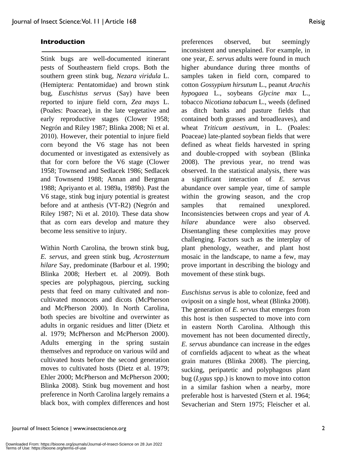Stink bugs are well-documented itinerant pests of Southeastern field crops. Both the southern green stink bug, *Nezara viridula* L. (Hemiptera: Pentatomidae) and brown stink bug, *Euschistus servus* (Say) have been reported to injure field corn, *Zea mays* L. (Poales: Poaceae), in the late vegetative and early reproductive stages (Clower 1958; Negrón and Riley 1987; Blinka 2008; Ni et al. 2010). However, their potential to injure field corn beyond the V6 stage has not been documented or investigated as extensively as that for corn before the V6 stage (Clower 1958; Townsend and Sedlacek 1986; Sedlacek and Townsend 1988; Annan and Bergman 1988; Apriyanto et al. 1989a, 1989b). Past the V6 stage, stink bug injury potential is greatest before and at anthesis (VT-R2) (Negrón and Riley 1987; Ni et al. 2010). These data show that as corn ears develop and mature they become less sensitive to injury.

Within North Carolina, the brown stink bug, *E. servus,* and green stink bug, *Acrosternum hilare* Say, predominate (Barbour et al. 1990; Blinka 2008; Herbert et. al 2009). Both species are polyphagous, piercing, sucking pests that feed on many cultivated and noncultivated monocots and dicots (McPherson and McPherson 2000). In North Carolina, both species are bivoltine and overwinter as adults in organic residues and litter (Dietz et al. 1979; McPherson and McPherson 2000). Adults emerging in the spring sustain themselves and reproduce on various wild and cultivated hosts before the second generation moves to cultivated hosts (Dietz et al. 1979; Ehler 2000; McPherson and McPherson 2000; Blinka 2008). Stink bug movement and host preference in North Carolina largely remains a black box, with complex differences and host preferences observed, but seemingly inconsistent and unexplained. For example, in one year, *E. servus* adults were found in much higher abundance during three months of samples taken in field corn, compared to cotton *Gossypium hirsutum* L., peanut *Arachis hypogaea* L., soybeans *Glycine max* L., tobacco *Nicotiana tabacum* L., weeds (defined as ditch banks and pasture fields that contained both grasses and broadleaves), and wheat *Triticum aestivum*, in L. (Poales: Poaceae) late-planted soybean fields that were defined as wheat fields harvested in spring and double-cropped with soybean (Blinka 2008). The previous year, no trend was observed. In the statistical analysis, there was a significant interaction of *E. servus* abundance over sample year, time of sample within the growing season, and the crop samples that remained unexplored. Inconsistencies between crops and year of *A. hilare* abundance were also observed. Disentangling these complexities may prove challenging. Factors such as the interplay of plant phenology, weather, and plant host mosaic in the landscape, to name a few, may prove important in describing the biology and movement of these stink bugs.

*Euschistus servus* is able to colonize, feed and oviposit on a single host, wheat (Blinka 2008). The generation of *E. servus* that emerges from this host is then suspected to move into corn in eastern North Carolina. Although this movement has not been documented directly, *E. servus* abundance can increase in the edges of cornfields adjacent to wheat as the wheat grain matures (Blinka 2008). The piercing, sucking, peripatetic and polyphagous plant bug (*Lygus* spp.) is known to move into cotton in a similar fashion when a nearby, more preferable host is harvested (Stern et al. 1964; Sevacherian and Stern 1975; Fleischer et al.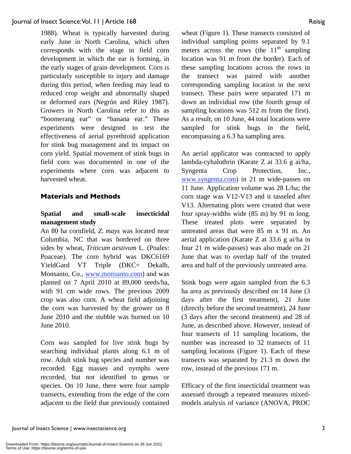1988). Wheat is typically harvested during early June in North Carolina, which often corresponds with the stage in field corn development in which the ear is forming, in the early stages of grain development. Corn is particularly susceptible to injury and damage during this period, when feeding may lead to reduced crop weight and abnormally shaped or deformed ears (Negrón and Riley 1987). Growers in North Carolina refer to this as "boomerang ear" or "banana ear." These experiments were designed to test the effectiveness of aerial pyrethroid application for stink bug management and its impact on corn yield. Spatial movement of stink bugs in field corn was documented in one of the experiments where corn was adjacent to harvested wheat.

# **Materials and Methods**

# **Spatial and small-scale insecticidal management study**

An 80 ha cornfield, *Z. mays* was located near Columbia, NC that was bordered on three sides by wheat, *Triticum aestivum* L. (Poales: Poaceae). The corn hybrid was DKC6169 YieldGard VT Triple (DKC= Dekalb, Monsanto, Co., www.monsanto.com) and was planted on 7 April 2010 at 89,000 seeds/ha, with 91 cm wide rows. The previous 2009 crop was also corn. A wheat field adjoining the corn was harvested by the grower on 8 June 2010 and the stubble was burned on 10 June 2010.

Corn was sampled for live stink bugs by searching individual plants along 6.1 m of row. Adult stink bug species and number was recorded. Egg masses and nymphs were recorded, but not identified to genus or species. On 10 June, there were four sample transects, extending from the edge of the corn adjacent to the field that previously contained wheat (Figure 1). These transects consisted of individual sampling points separated by 9.1 meters across the rows (the  $11<sup>th</sup>$  sampling location was 91 m from the border). Each of these sampling locations across the rows in the transect was paired with another corresponding sampling location in the next transect. These pairs were separated 171 m down an individual row (the fourth group of sampling locations was 512 m from the first). As a result, on 10 June, 44 total locations were sampled for stink bugs in the field, encompassing a 6.3 ha sampling area.

An aerial applicator was contracted to apply lambda-cyhalothrin (Karate Z at 33.6 g ai/ha, Syngenta Crop Protection, Inc., www.syngenta.com) in 21 m wide-passes on 11 June. Application volume was 28 L/ha; the corn stage was V12-V13 and it tasseled after V13. Alternating plots were created that were four spray-widths wide (85 m) by 91 m long. These treated plots were separated by untreated areas that were 85 m x 91 m. An aerial application (Karate Z at 33.6 g ai/ha in four 21 m wide-passes) was also made on 21 June that was to overlap half of the treated area and half of the previously untreated area.

Stink bugs were again sampled from the 6.3 ha area as previously described on 14 June (3 days after the first treatment), 21 June (directly before the second treatment), 24 June (3 days after the second treatment) and 28 of June, as described above. However, instead of four transects of 11 sampling locations, the number was increased to 32 transects of 11 sampling locations (Figure 1). Each of these transects was separated by 21.3 m down the row, instead of the previous 171 m.

Efficacy of the first insecticidal treatment was assessed through a repeated measures mixedmodels analysis of variance (ANOVA, PROC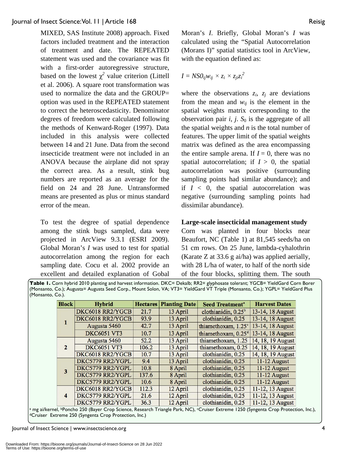# Journal of Insect Science: Vol. 11 | Article 168 Reisig

MIXED, SAS Institute 2008) approach. Fixed factors included treatment and the interaction of treatment and date. The REPEATED statement was used and the covariance was fit with a first-order autoregressive structure, based on the lowest  $\chi^2$  value criterion (Littell et al. 2006). A square root transformation was used to normalize the data and the GROUP= option was used in the REPEATED statement to correct the heteroscedasticity. Denominator degrees of freedom were calculated following the methods of Kenward-Roger (1997). Data included in this analysis were collected between 14 and 21 June. Data from the second insecticide treatment were not included in an ANOVA because the airplane did not spray the correct area. As a result, stink bug numbers are reported as an average for the field on 24 and 28 June. Untransformed means are presented as plus or minus standard error of the mean.

To test the degree of spatial dependence among the stink bugs sampled, data were projected in ArcView 9.3.1 (ESRI 2009). Global Moran's *I* was used to test for spatial autocorrelation among the region for each sampling date. Cocu et al. 2002 provide an excellent and detailed explanation of Gobal

Moran's *I*. Briefly, Global Moran's *I* was calculated using the "Spatial Autocorrelation (Morans I)" spatial statistics tool in ArcView, with the equation defined as:

$$
I = NSO_{ij}w_{ij} \times z_i \times z_{ji}z_i^2
$$

where the observations  $z_i$ ,  $z_j$  are deviations from the mean and  $w_{ij}$  is the element in the spatial weights matrix corresponding to the observation pair  $i$ ,  $j$ .  $S_0$  is the aggregate of all the spatial weights and *n* is the total number of features. The upper limit of the spatial weights matrix was defined as the area encompassing the entire sample arena. If  $I = 0$ , there was no spatial autocorrelation; if  $I > 0$ , the spatial autocorrelation was positive (surrounding sampling points had similar abundance); and if  $I \leq 0$ , the spatial autocorrelation was negative (surrounding sampling points had dissimilar abundance).

# **Large-scale insecticidal management study**

Corn was planted in four blocks near Beaufort, NC (Table 1) at 81,545 seeds/ha on 51 cm rows. On 25 June, lambda-cyhalothrin (Karate Z at 33.6 g ai/ha) was applied aerially, with 28 L/ha of water, to half of the north side of the four blocks, splitting them. The south

**Table 1.** Corn hybrid 2010 planting and harvest information. DKC= Dekalb; RR2= glyphosate tolerant; YGCB= YieldGard Corn Borer (Monsanto, Co.); Augusta= Augusta Seed Corp., Mount Solon, VA; VT3= YieldGard VT Triple (Monsanto, Co.); YGPL= YieldGard Plus (Monsanto, Co.).

| <b>Block</b>     | <b>Hybrid</b>      | <b>Hectares</b> | <b>Planting Date</b> | <b>Seed Treatment<sup>a</sup></b> | <b>Harvest Dates</b> |
|------------------|--------------------|-----------------|----------------------|-----------------------------------|----------------------|
|                  | DKC6018 RR2/YGCB   | 21.7            | 13 April             | clothianidin, 0.25 <sup>b</sup>   | 13-14, 18 August     |
|                  | DKC6018 RR2/YGCB   | 93.9            | 13 April             | clothianidin, 0.25                | 13-14, 18 August     |
|                  | Augusta 5460       | 42.7            | 13 April             | thiamethoxam, 1.25°               | 13-14, 18 August     |
|                  | <b>DKC6051 VT3</b> | 10.7            | 13 April             | thiamethoxam, 0.25 <sup>d</sup>   | 13-14, 18 August     |
| $\mathbf{2}$     | Augusta 5460       | 52.2            | 13 April             | thiamethoxam, 1.25                | 14, 18, 19 August    |
|                  | <b>DKC6051 VT3</b> | 106.2           | 13 April             | thiamethoxam, 0.25                | 14, 18, 19 August    |
|                  | DKC6018 RR2/YGCB   | 10.7            | 13 April             | clothianidin, 0.25                | 14, 18, 19 August    |
| 3                | DKC5779 RR2/YGPL   | 9.4             | 13 April             | clothianidin, 0.25                | 11-12 August         |
|                  | DKC5779 RR2/YGPL   | 10.8            | 8 April              | clothianidin, 0.25                | 11-12 August         |
|                  | DKC5779 RR2/YGPL   | 137.6           | 8 April              | clothianidin, 0.25                | 11-12 August         |
|                  | DKC5779 RR2/YGPL   | 10.6            | 8 April              | clothianidin, 0.25                | 11-12 August         |
| $\boldsymbol{4}$ | DKC6018 RR2/YGCB   | 112.3           | 12 April             | clothianidin, 0.25                | 11-12, 13 August     |
|                  | DKC5779 RR2/YGPL   | 21.6            | 12 April             | clothianidin, 0.25                | 11-12, 13 August     |
|                  | DKC5779 RR2/YGPL   | 36.3            | 12 April             | clothianidin, 0.25                | 11-12, 13 August     |

a mg ai/kernel, bPoncho 250 (Bayer Crop Science, Research Triangle Park, NC), <sup>c</sup>Cruiser Extreme 1250 (Syngenta Crop Protection, Inc.), dCruiser Extreme 250 (Syngenta Crop Protection, Inc.)

Journal of Insect Science | www.insectscience.org 4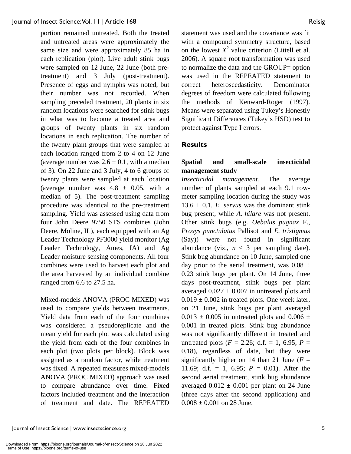portion remained untreated. Both the treated and untreated areas were approximately the same size and were approximately 85 ha in each replication (plot). Live adult stink bugs were sampled on 12 June, 22 June (both pretreatment) and 3 July (post-treatment). Presence of eggs and nymphs was noted, but their number was not recorded. When sampling preceded treatment, 20 plants in six random locations were searched for stink bugs in what was to become a treated area and groups of twenty plants in six random locations in each replication. The number of the twenty plant groups that were sampled at each location ranged from 2 to 4 on 12 June (average number was  $2.6 \pm 0.1$ , with a median of 3). On 22 June and 3 July, 4 to 6 groups of twenty plants were sampled at each location (average number was  $4.8 \pm 0.05$ , with a median of 5). The post-treatment sampling procedure was identical to the pre-treatment sampling. Yield was assessed using data from four John Deere 9750 STS combines (John Deere, Moline, IL), each equipped with an Ag Leader Technology PF3000 yield monitor (Ag Leader Technology, Ames, IA) and Ag Leader moisture sensing components. All four combines were used to harvest each plot and the area harvested by an individual combine ranged from 6.6 to 27.5 ha.

Mixed-models ANOVA (PROC MIXED) was used to compare yields between treatments. Yield data from each of the four combines was considered a pseudoreplicate and the mean yield for each plot was calculated using the yield from each of the four combines in each plot (two plots per block). Block was assigned as a random factor, while treatment was fixed. A repeated measures mixed-models ANOVA (PROC MIXED) approach was used to compare abundance over time. Fixed factors included treatment and the interaction of treatment and date. The REPEATED statement was used and the covariance was fit with a compound symmetry structure, based on the lowest  $X^2$  value criterion (Littell et al. 2006). A square root transformation was used to normalize the data and the GROUP= option was used in the REPEATED statement to correct heteroscedasticity. Denominator degrees of freedom were calculated following the methods of Kenward-Roger (1997). Means were separated using Tukey's Honestly Significant Differences (Tukey's HSD) test to protect against Type I errors.

# **Results**

# **Spatial and small-scale insecticidal management study**

*Insecticidal management.* The average number of plants sampled at each 9.1 rowmeter sampling location during the study was  $13.6 \pm 0.1$ . *E. servus* was the dominant stink bug present, while *A. hilare* was not present. Other stink bugs (e.g. *Oebalus pugnax* F., *Proxys punctulatus* Pallisot and *E. tristigmus* (Say)) were not found in significant abundance (viz.,  $n < 3$  per sampling date). Stink bug abundance on 10 June, sampled one day prior to the aerial treatment, was  $0.08 \pm$ 0.23 stink bugs per plant. On 14 June, three days post-treatment, stink bugs per plant averaged  $0.027 \pm 0.007$  in untreated plots and  $0.019 \pm 0.002$  in treated plots. One week later, on 21 June, stink bugs per plant averaged  $0.013 \pm 0.005$  in untreated plots and  $0.006 \pm 0.005$ 0.001 in treated plots. Stink bug abundance was not significantly different in treated and untreated plots ( $F = 2.26$ ; d.f. = 1, 6.95;  $P =$ 0.18), regardless of date, but they were significantly higher on 14 than 21 June  $(F =$ 11.69; d.f. = 1, 6.95;  $P = 0.01$ ). After the second aerial treatment, stink bug abundance averaged  $0.012 \pm 0.001$  per plant on 24 June (three days after the second application) and  $0.008 \pm 0.001$  on 28 June.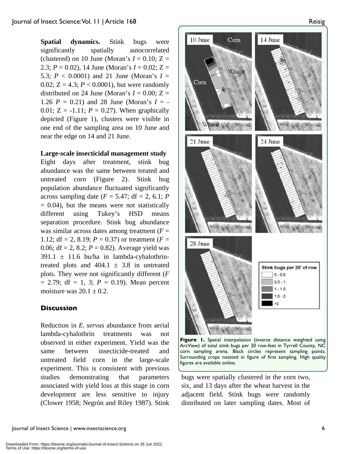**Spatial dynamics.** Stink bugs were significantly spatially autocorrelated (clustered) on 10 June (Moran's  $I = 0.10$ ;  $Z =$ 2.3;  $P = 0.02$ ), 14 June (Moran's  $I = 0.02$ ;  $Z =$ 5.3;  $P < 0.0001$ ) and 21 June (Moran's  $I =$ 0.02;  $Z = 4.3$ ;  $P < 0.0001$ ), but were randomly distributed on 24 June (Moran's  $I = 0.00$ ;  $Z =$ 1.26  $P = 0.21$ ) and 28 June (Moran's  $I = -$ 0.01;  $Z = -1.11$ ;  $P = 0.27$ ). When graphically depicted (Figure 1), clusters were visible in one end of the sampling area on 10 June and near the edge on 14 and 21 June.

#### **Large-scale insecticidal management study**

Eight days after treatment, stink bug abundance was the same between treated and untreated corn (Figure 2). Stink bug population abundance fluctuated significantly across sampling date  $(F = 5.47; df = 2, 6.1; P)$  $= 0.04$ ), but the means were not statistically different using Tukey's HSD means separation procedure. Stink bug abundance was similar across dates among treatment  $(F =$ 1.12;  $df = 2$ , 8.19;  $P = 0.37$ ) or treatment ( $F =$ 0.06; df = 2, 8.2; *P* = 0.82). Average yield was  $391.1 \pm 11.6$  bu/ha in lambda-cyhalothrintreated plots and  $404.1 \pm 3.8$  in untreated plots. They were not significantly different (*F*  $= 2.79$ ; df  $= 1, 3$ ;  $P = 0.19$ ). Mean percent moisture was  $20.1 \pm 0.2$ .

# **Discussion**

Reduction in *E. servus* abundance from aerial lambda-cyhalothrin treatments was not observed in either experiment. Yield was the same between insecticide-treated and untreated field corn in the large-scale experiment. This is consistent with previous studies demonstrating that parameters associated with yield loss at this stage in corn development are less sensitive to injury (Clower 1958; Negrón and Riley 1987). Stink



**Figure 1.** Spatial interpolation (inverse distance weighted using ArcView) of total stink bugs per 20 row-feet in Tyrrell County, NC corn sampling arena. Black circles represent sampling points. Surrounding crops notated in figure of first sampling. High quality figures are available online.

bugs were spatially clustered in the corn two, six, and 13 days after the wheat harvest in the adjacent field. Stink bugs were randomly distributed on later sampling dates. Most of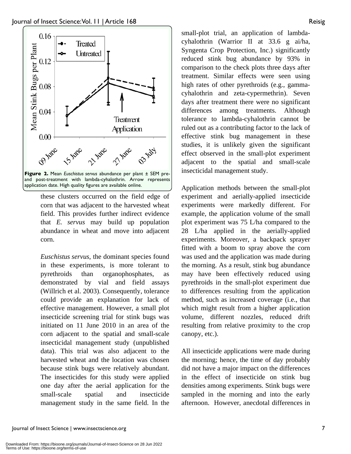

these clusters occurred on the field edge of corn that was adjacent to the harvested wheat field. This provides further indirect evidence that *E. servus* may build up population abundance in wheat and move into adjacent corn.

*Euschistus servus*, the dominant species found in these experiments, is more tolerant to pyrethroids than organophosphates, as demonstrated by vial and field assays (Willrich et al. 2003). Consequently, tolerance could provide an explanation for lack of effective management. However, a small plot insecticide screening trial for stink bugs was initiated on 11 June 2010 in an area of the corn adjacent to the spatial and small-scale insecticidal management study (unpublished data). This trial was also adjacent to the harvested wheat and the location was chosen because stink bugs were relatively abundant. The insecticides for this study were applied one day after the aerial application for the small-scale spatial and insecticide management study in the same field. In the small-plot trial, an application of lambdacyhalothrin (Warrior II at 33.6 g ai/ha, Syngenta Crop Protection, Inc.) significantly reduced stink bug abundance by 93% in comparison to the check plots three days after treatment. Similar effects were seen using high rates of other pyrethroids (e.g., gammacyhalothrin and zeta-cypermethrin). Seven days after treatment there were no significant differences among treatments. Although tolerance to lambda-cyhalothrin cannot be ruled out as a contributing factor to the lack of effective stink bug management in these studies, it is unlikely given the significant effect observed in the small-plot experiment adjacent to the spatial and small-scale insecticidal management study.

Application methods between the small-plot experiment and aerially-applied insecticide experiments were markedly different. For example, the application volume of the small plot experiment was 75 L/ha compared to the 28 L/ha applied in the aerially-applied experiments. Moreover, a backpack sprayer fitted with a boom to spray above the corn was used and the application was made during the morning. As a result, stink bug abundance may have been effectively reduced using pyrethroids in the small-plot experiment due to differences resulting from the application method, such as increased coverage (i.e., that which might result from a higher application volume, different nozzles, reduced drift resulting from relative proximity to the crop canopy, etc.).

All insecticide applications were made during the morning; hence, the time of day probably did not have a major impact on the differences in the effect of insecticide on stink bug densities among experiments. Stink bugs were sampled in the morning and into the early afternoon. However, anecdotal differences in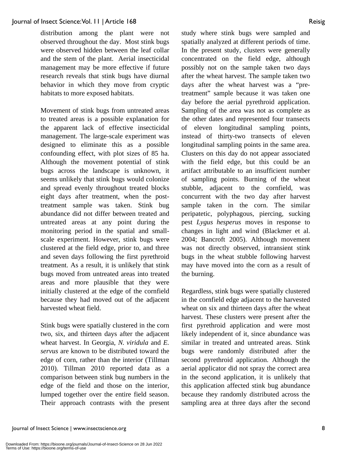distribution among the plant were not observed throughout the day. Most stink bugs were observed hidden between the leaf collar and the stem of the plant. Aerial insecticidal management may be more effective if future research reveals that stink bugs have diurnal behavior in which they move from cryptic habitats to more exposed habitats.

Movement of stink bugs from untreated areas to treated areas is a possible explanation for the apparent lack of effective insecticidal management. The large-scale experiment was designed to eliminate this as a possible confounding effect, with plot sizes of 85 ha. Although the movement potential of stink bugs across the landscape is unknown, it seems unlikely that stink bugs would colonize and spread evenly throughout treated blocks eight days after treatment, when the posttreatment sample was taken. Stink bug abundance did not differ between treated and untreated areas at any point during the monitoring period in the spatial and smallscale experiment. However, stink bugs were clustered at the field edge, prior to, and three and seven days following the first pyrethroid treatment. As a result, it is unlikely that stink bugs moved from untreated areas into treated areas and more plausible that they were initially clustered at the edge of the cornfield because they had moved out of the adjacent harvested wheat field.

Stink bugs were spatially clustered in the corn two, six, and thirteen days after the adjacent wheat harvest. In Georgia, *N. viridula* and *E. servus* are known to be distributed toward the edge of corn, rather than the interior (Tillman 2010). Tillman 2010 reported data as a comparison between stink bug numbers in the edge of the field and those on the interior, lumped together over the entire field season. Their approach contrasts with the present study where stink bugs were sampled and spatially analyzed at different periods of time. In the present study, clusters were generally concentrated on the field edge, although possibly not on the sample taken two days after the wheat harvest. The sample taken two days after the wheat harvest was a "pretreatment" sample because it was taken one day before the aerial pyrethroid application. Sampling of the area was not as complete as the other dates and represented four transects of eleven longitudinal sampling points, instead of thirty-two transects of eleven longitudinal sampling points in the same area. Clusters on this day do not appear associated with the field edge, but this could be an artifact attributable to an insufficient number of sampling points. Burning of the wheat stubble, adjacent to the cornfield, was concurrent with the two day after harvest sample taken in the corn. The similar peripatetic, polyphagous, piercing, sucking pest *Lygus hesperus* moves in response to changes in light and wind (Blackmer et al. 2004; Bancroft 2005). Although movement was not directly observed, intransient stink bugs in the wheat stubble following harvest may have moved into the corn as a result of the burning.

Regardless, stink bugs were spatially clustered in the cornfield edge adjacent to the harvested wheat on six and thirteen days after the wheat harvest. These clusters were present after the first pyrethroid application and were most likely independent of it, since abundance was similar in treated and untreated areas. Stink bugs were randomly distributed after the second pyrethroid application. Although the aerial applicator did not spray the correct area in the second application, it is unlikely that this application affected stink bug abundance because they randomly distributed across the sampling area at three days after the second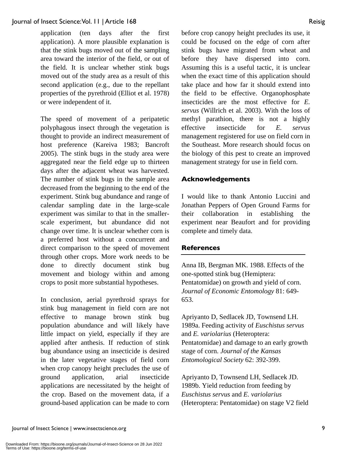application (ten days after the first application). A more plausible explanation is that the stink bugs moved out of the sampling area toward the interior of the field, or out of the field. It is unclear whether stink bugs moved out of the study area as a result of this second application (e.g., due to the repellant properties of the pyrethroid (Elliot et al. 1978) or were independent of it.

The speed of movement of a peripatetic polyphagous insect through the vegetation is thought to provide an indirect measurement of host preference (Kareiva 1983; Bancroft 2005). The stink bugs in the study area were aggregated near the field edge up to thirteen days after the adjacent wheat was harvested. The number of stink bugs in the sample area decreased from the beginning to the end of the experiment. Stink bug abundance and range of calendar sampling date in the large-scale experiment was similar to that in the smallerscale experiment, but abundance did not change over time. It is unclear whether corn is a preferred host without a concurrent and direct comparison to the speed of movement through other crops. More work needs to be done to directly document stink bug movement and biology within and among crops to posit more substantial hypotheses.

In conclusion, aerial pyrethroid sprays for stink bug management in field corn are not effective to manage brown stink bug population abundance and will likely have little impact on yield, especially if they are applied after anthesis. If reduction of stink bug abundance using an insecticide is desired in the later vegetative stages of field corn when crop canopy height precludes the use of ground application, arial insecticide applications are necessitated by the height of the crop. Based on the movement data, if a ground-based application can be made to corn before crop canopy height precludes its use, it could be focused on the edge of corn after stink bugs have migrated from wheat and before they have dispersed into corn. Assuming this is a useful tactic, it is unclear when the exact time of this application should take place and how far it should extend into the field to be effective. Organophosphate insecticides are the most effective for *E. servus* (Willrich et al. 2003). With the loss of methyl parathion, there is not a highly effective insecticide for *E. servus* management registered for use on field corn in the Southeast. More research should focus on the biology of this pest to create an improved management strategy for use in field corn.

#### **Acknowledgements**

I would like to thank Antonio Luccini and Jonathan Peppers of Open Ground Farms for their collaboration in establishing the experiment near Beaufort and for providing complete and timely data.

#### **References**

Anna IB, Bergman MK. 1988. Effects of the one-spotted stink bug (Hemiptera: Pentatomidae) on growth and yield of corn. *Journal of Economic Entomology* 81: 649- 653.

Apriyanto D, Sedlacek JD, Townsend LH. 1989a. Feeding activity of *Euschistus servus*  and *E. variolarius* (Heteroptera: Pentatomidae) and damage to an early growth stage of corn. *Journal of the Kansas Entomological Society* 62: 392-399.

Apriyanto D, Townsend LH, Sedlacek JD. 1989b. Yield reduction from feeding by *Euschistus servus* and *E. variolarius*  (Heteroptera: Pentatomidae) on stage V2 field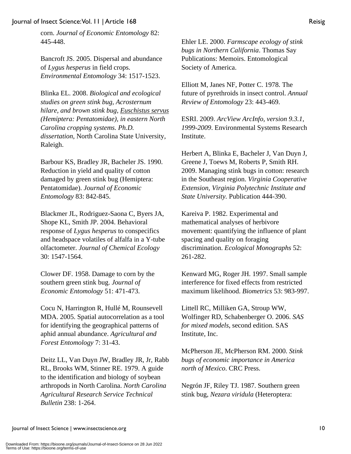Bancroft JS. 2005. Dispersal and abundance of *Lygus hesperus* in field crops. *Environmental Entomology* 34: 1517-1523.

Blinka EL. 2008. *Biological and ecological studies on green stink bug, Acrosternum hilare, and brown stink bug, Euschistus servus (Hemiptera: Pentatomidae), in eastern North Carolina cropping systems. Ph.D. dissertation*, North Carolina State University, Raleigh.

Barbour KS, Bradley JR, Bacheler JS. 1990. Reduction in yield and quality of cotton damaged by green stink bug (Hemiptera: Pentatomidae). *Journal of Economic Entomology* 83: 842-845.

Blackmer JL, Rodriguez-Saona C, Byers JA, Shope KL, Smith JP. 2004. Behavioral response of *Lygus hesperus* to conspecifics and headspace volatiles of alfalfa in a Y-tube olfactometer. *Journal of Chemical Ecology*  30: 1547-1564.

Clower DF. 1958. Damage to corn by the southern green stink bug. *Journal of Economic Entomology* 51: 471-473.

Cocu N, Harrington R, Hullé M, Rounsevell MDA. 2005. Spatial autocorrelation as a tool for identifying the geographical patterns of aphid annual abundance. *Agricultural and Forest Entomology* 7: 31-43.

Deitz LL, Van Duyn JW, Bradley JR, Jr, Rabb RL, Brooks WM, Stinner RE. 1979. A guide to the identification and biology of soybean arthropods in North Carolina. *North Carolina Agricultural Research Service Technical Bulletin* 238: 1-264.

Ehler LE. 2000. *Farmscape ecology of stink bugs in Northern California*. Thomas Say Publications: Memoirs. Entomological Society of America.

Elliott M, Janes NF, Potter C. 1978. The future of pyrethroids in insect control. *Annual Review of Entomology* 23: 443-469.

ESRI. 2009. *ArcView ArcInfo, version 9.3.1, 1999-2009*. Environmental Systems Research Institute.

Herbert A, Blinka E, Bacheler J, Van Duyn J, Greene J, Toews M, Roberts P, Smith RH. 2009. Managing stink bugs in cotton: research in the Southeast region. *Virginia Cooperative Extension, Virginia Polytechnic Institute and State University.* Publication 444-390.

Kareiva P. 1982. Experimental and mathematical analyses of herbivore movement: quantifying the influence of plant spacing and quality on foraging discrimination. *Ecological Monographs* 52: 261-282.

Kenward MG, Roger JH. 1997. Small sample interference for fixed effects from restricted maximum likelihood. *Biometrics* 53: 983-997.

Littell RC, Milliken GA, Stroup WW, Wolfinger RD, Schabenberger O. 2006. *SAS for mixed models*, second edition. SAS Institute, Inc.

McPherson JE, McPherson RM. 2000. *Stink bugs of economic importance in America north of Mexico*. CRC Press.

Negrón JF, Riley TJ. 1987. Southern green stink bug, *Nezara viridula* (Heteroptera:

Terms of Use: https://bioone.org/terms-of-use